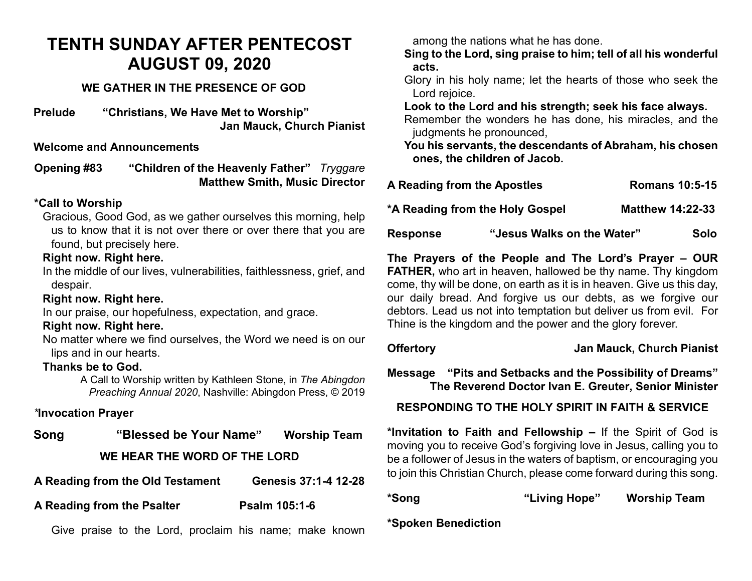## **TENTH SUNDAY AFTER PENTECOST AUGUST 09, 2020**

#### **WE GATHER IN THE PRESENCE OF GOD**

**Prelude "Christians, We Have Met to Worship" Jan Mauck, Church Pianist**

#### **Welcome and Announcements**

**Opening #83 "Children of the Heavenly Father"** *Tryggare* **Matthew Smith, Music Director** 

#### **\*Call to Worship**

Gracious, Good God, as we gather ourselves this morning, help us to know that it is not over there or over there that you are found, but precisely here.

#### **Right now. Right here.**

In the middle of our lives, vulnerabilities, faithlessness, grief, and despair.

#### **Right now. Right here.**

In our praise, our hopefulness, expectation, and grace.

#### **Right now. Right here.**

No matter where we find ourselves, the Word we need is on our lips and in our hearts.

#### **Thanks be to God.**

A Call to Worship written by Kathleen Stone, in *The Abingdon Preaching Annual 2020*, Nashville: Abingdon Press, © 2019

#### *\****Invocation Prayer**

| Song | "Blessed be Your Name"       | <b>Worship Team</b> |
|------|------------------------------|---------------------|
|      | WE HEAR THE WORD OF THE LORD |                     |

**A Reading from the Psalter Psalm 105:1-6**

Give praise to the Lord, proclaim his name; make known

among the nations what he has done.

**Sing to the Lord, sing praise to him; tell of all his wonderful acts.**

Glory in his holy name; let the hearts of those who seek the Lord rejoice.

**Look to the Lord and his strength; seek his face always.**

Remember the wonders he has done, his miracles, and the judgments he pronounced,

**You his servants, the descendants of Abraham, his chosen ones, the children of Jacob.**

| <b>Response</b>             | "Jesus Walks on the Water"      | Solo                    |
|-----------------------------|---------------------------------|-------------------------|
|                             | *A Reading from the Holy Gospel | <b>Matthew 14:22-33</b> |
| A Reading from the Apostles |                                 | <b>Romans 10:5-15</b>   |

**The Prayers of the People and The Lord's Prayer – OUR FATHER,** who art in heaven, hallowed be thy name. Thy kingdom come, thy will be done, on earth as it is in heaven. Give us this day, our daily bread. And forgive us our debts, as we forgive our debtors. Lead us not into temptation but deliver us from evil. For Thine is the kingdom and the power and the glory forever.

#### **Offertory Jan Mauck, Church Pianist**

**Message "Pits and Setbacks and the Possibility of Dreams" The Reverend Doctor Ivan E. Greuter, Senior Minister**

### **RESPONDING TO THE HOLY SPIRIT IN FAITH & SERVICE**

**\*Invitation to Faith and Fellowship –** If the Spirit of God is moving you to receive God's forgiving love in Jesus, calling you to be a follower of Jesus in the waters of baptism, or encouraging you to join this Christian Church, please come forward during this song.

| *Song | "Living Hope" | <b>Worship Team</b> |
|-------|---------------|---------------------|
|       |               |                     |

**\*Spoken Benediction**